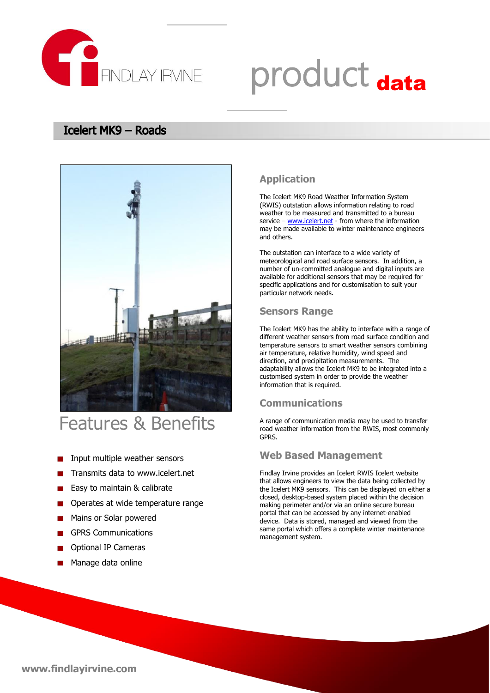

# product data

#### **Icelert MK9 - Roads**



### Features & Benefits

- Input multiple weather sensors
- Transmits data to www.icelert.net
- Easy to maintain & calibrate  $\blacksquare$
- Operates at wide temperature range
- Mains or Solar powered
- GPRS Communications
- Optional IP Cameras
- **Manage data online**

#### **Application**

The Icelert MK9 Road Weather Information System (RWIS) outstation allows information relating to road weather to be measured and transmitted to a bureau service – [www.icelert.net](http://www.icelert.net/) - from where the information may be made available to winter maintenance engineers and others.

The outstation can interface to a wide variety of meteorological and road surface sensors. In addition, a number of un-committed analogue and digital inputs are available for additional sensors that may be required for specific applications and for customisation to suit your particular network needs.

#### **Sensors Range**

The Icelert MK9 has the ability to interface with a range of different weather sensors from road surface condition and temperature sensors to smart weather sensors combining air temperature, relative humidity, wind speed and direction, and precipitation measurements. The adaptability allows the Icelert MK9 to be integrated into a customised system in order to provide the weather information that is required.

#### **Communications**

A range of communication media may be used to transfer road weather information from the RWIS, most commonly GPRS.

#### **Web Based Management**

Findlay Irvine provides an Icelert RWIS Icelert website that allows engineers to view the data being collected by the Icelert MK9 sensors. This can be displayed on either a closed, desktop-based system placed within the decision making perimeter and/or via an online secure bureau portal that can be accessed by any internet-enabled device. Data is stored, managed and viewed from the same portal which offers a complete winter maintenance management system.

**www.findlayirvine.com**